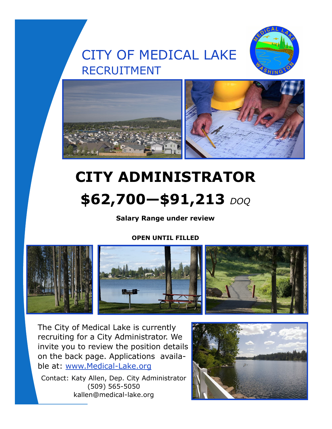# CITY OF MEDICAL LAKE RECRUITMENT





# **CITY ADMINISTRATOR \$62,700—\$91,213** *DOQ*

### **Salary Range under review**

#### **OPEN UNTIL FILLED**



The City of Medical Lake is currently recruiting for a City Administrator. We invite you to review the position details on the back page. Applications available at: www.Medical-Lake.org

Contact: Katy Allen, Dep. City Administrator (509) 565-5050 kallen@medical-lake.org